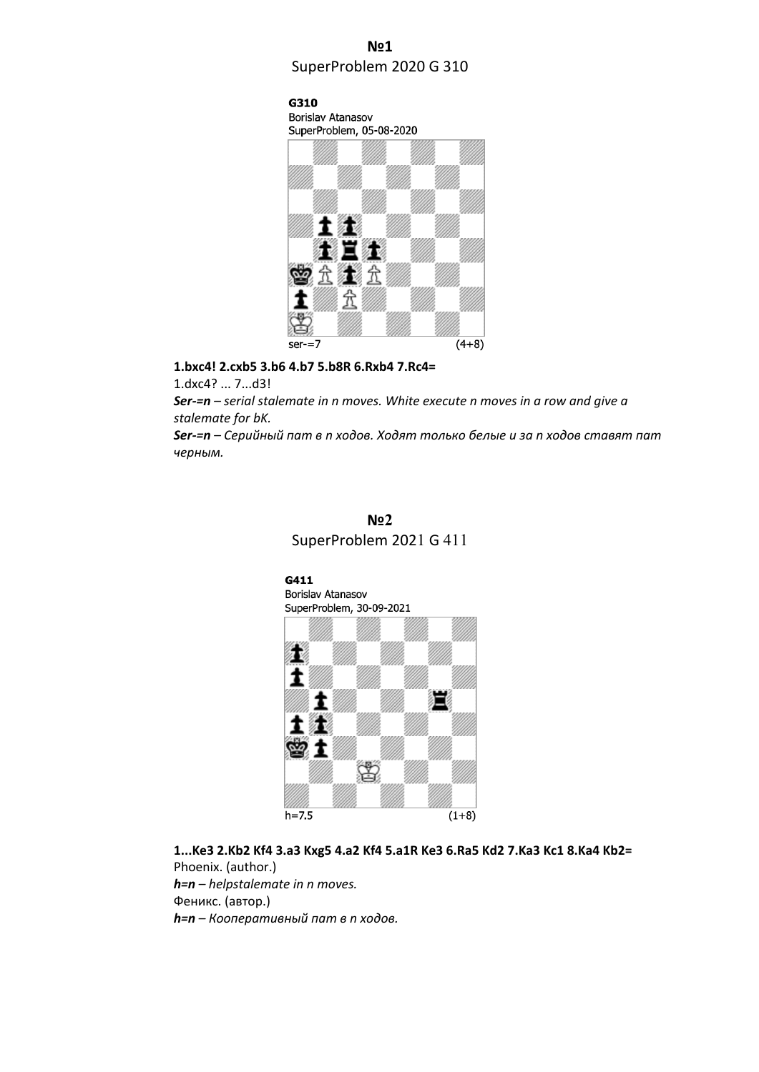## **№1** SuperProblem 2020 G 310

G310 Borislav Atanasov



**1.bxc4! 2.cxb5 3.b6 4.b7 5.b8R 6.Rxb4 7.Rc4=**

1.dxc4? ... 7...d3!

*Ser-=n – serial stalemate in n moves. White execute n moves in a row and give a stalemate for bK.*

*Ser-=n – Серийный пат в n ходов. Ходят только белые и за n ходов ставят пат черным.*





**1...Ke3 2.Kb2 Kf4 3.a3 Kxg5 4.a2 Kf4 5.a1R Ke3 6.Ra5 Kd2 7.Ka3 Kc1 8.Ka4 Kb2=** Phoenix. (author.) *h=n – helpstalemate in n moves.* Феникс. (автор.) *h=n – Кооперативный пат в n ходов.*